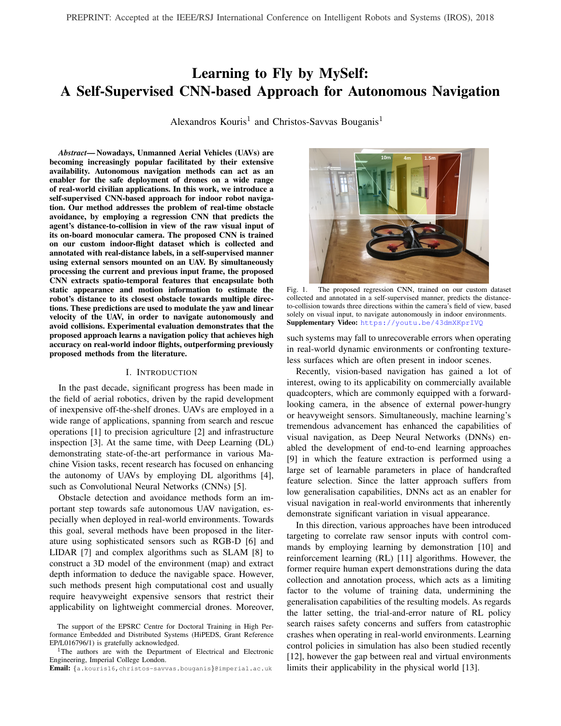# Learning to Fly by MySelf: A Self-Supervised CNN-based Approach for Autonomous Navigation

Alexandros Kouris<sup>1</sup> and Christos-Savvas Bouganis<sup>1</sup>

*Abstract*— Nowadays, Unmanned Aerial Vehicles (UAVs) are becoming increasingly popular facilitated by their extensive availability. Autonomous navigation methods can act as an enabler for the safe deployment of drones on a wide range of real-world civilian applications. In this work, we introduce a self-supervised CNN-based approach for indoor robot navigation. Our method addresses the problem of real-time obstacle avoidance, by employing a regression CNN that predicts the agent's distance-to-collision in view of the raw visual input of its on-board monocular camera. The proposed CNN is trained on our custom indoor-flight dataset which is collected and annotated with real-distance labels, in a self-supervised manner using external sensors mounted on an UAV. By simultaneously processing the current and previous input frame, the proposed CNN extracts spatio-temporal features that encapsulate both static appearance and motion information to estimate the robot's distance to its closest obstacle towards multiple directions. These predictions are used to modulate the yaw and linear velocity of the UAV, in order to navigate autonomously and avoid collisions. Experimental evaluation demonstrates that the proposed approach learns a navigation policy that achieves high accuracy on real-world indoor flights, outperforming previously proposed methods from the literature.

#### I. INTRODUCTION

In the past decade, significant progress has been made in the field of aerial robotics, driven by the rapid development of inexpensive off-the-shelf drones. UAVs are employed in a wide range of applications, spanning from search and rescue operations [1] to precision agriculture [2] and infrastructure inspection [3]. At the same time, with Deep Learning (DL) demonstrating state-of-the-art performance in various Machine Vision tasks, recent research has focused on enhancing the autonomy of UAVs by employing DL algorithms [4], such as Convolutional Neural Networks (CNNs) [5].

Obstacle detection and avoidance methods form an important step towards safe autonomous UAV navigation, especially when deployed in real-world environments. Towards this goal, several methods have been proposed in the literature using sophisticated sensors such as RGB-D [6] and LIDAR [7] and complex algorithms such as SLAM [8] to construct a 3D model of the environment (map) and extract depth information to deduce the navigable space. However, such methods present high computational cost and usually require heavyweight expensive sensors that restrict their applicability on lightweight commercial drones. Moreover,



Fig. 1. The proposed regression CNN, trained on our custom dataset collected and annotated in a self-supervised manner, predicts the distanceto-collision towards three directions within the camera's field of view, based solely on visual input, to navigate autonomously in indoor environments. Supplementary Video: <https://youtu.be/43dmXKprIVQ>

such systems may fall to unrecoverable errors when operating in real-world dynamic environments or confronting textureless surfaces which are often present in indoor scenes.

Recently, vision-based navigation has gained a lot of interest, owing to its applicability on commercially available quadcopters, which are commonly equipped with a forwardlooking camera, in the absence of external power-hungry or heavyweight sensors. Simultaneously, machine learning's tremendous advancement has enhanced the capabilities of visual navigation, as Deep Neural Networks (DNNs) enabled the development of end-to-end learning approaches [9] in which the feature extraction is performed using a large set of learnable parameters in place of handcrafted feature selection. Since the latter approach suffers from low generalisation capabilities, DNNs act as an enabler for visual navigation in real-world environments that inherently demonstrate significant variation in visual appearance.

In this direction, various approaches have been introduced targeting to correlate raw sensor inputs with control commands by employing learning by demonstration [10] and reinforcement learning (RL) [11] algorithms. However, the former require human expert demonstrations during the data collection and annotation process, which acts as a limiting factor to the volume of training data, undermining the generalisation capabilities of the resulting models. As regards the latter setting, the trial-and-error nature of RL policy search raises safety concerns and suffers from catastrophic crashes when operating in real-world environments. Learning control policies in simulation has also been studied recently [12], however the gap between real and virtual environments limits their applicability in the physical world [13].

The support of the EPSRC Centre for Doctoral Training in High Performance Embedded and Distributed Systems (HiPEDS, Grant Reference EP/L016796/1) is gratefully acknowledged.

<sup>&</sup>lt;sup>1</sup>The authors are with the Department of Electrical and Electronic Engineering, Imperial College London.

Email: {a.kouris16,christos-savvas.bouganis}@imperial.ac.uk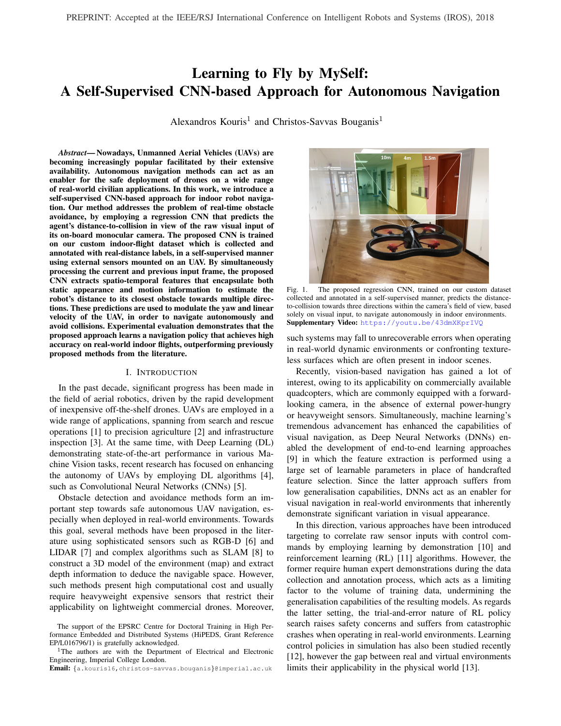In this paper we address the problem of autonomous UAV navigation in indoor environments using solely monocular input, by employing a Deep Learning approach. The key contributions of this work are summarised by the following:

- The deployment of a two-stream CNN for robot perception, trained on a custom dataset to fit a regression model that predicts the real distance-to-collision in view of the robot's forward-looking camera input. The employed network architecture, consisting of two merging streams that concurrently process the current and previous raw visual input, demonstrates enhanced learning capacity by extracting spatio-temporal features that incorporate both static appearance and robot motion information in the learning process.
- A novel local motion planning policy that modulates the robot's yaw and linear velocity based on the CNN's distance predictions towards three diverging directions within the field of view (FoV) of the robot's camera (Fig. 1), to accomplish collision-free navigation.
- A real-flight custom dataset of indoor UAV trajectories, used to train the proposed CNN model, annotated with continuous distance-to-collision values towards the front, left and right direction with respect to the onboard camera's FoV. The dataset is collected and annotated in a self-supervised manner by a drone equipped with external distance sensors mounted on its hull.

Extensive experiments on a commercial drone demonstrates that the proposed system for autonomous indoor navigation, achieves considerably higher performance in various navigation scenarios compared to related approaches introduced in recent literature. Distance-to-collision predictions performed by the proposed CNN allow informed motion decisions to be made by the introduced local motion planning policy, accomplishing safe robot navigation on real-world environments. Moreover, it is shown that the employed twostream CNN architecture, incorporating spatio-temporal features in its learning process, significantly boosts the accuracy on the undertaken regression task compared to other CNN architectures, commonly used in relevant literature.

#### II. RELATED WORK

Autonomous navigation is highly correlated with obstacle detection and avoidance tasks. Monocular obstacle detection methods in literature are based either on scene analysis using classical computer vision algorithms or on machine learning.

Most of the latter recently introduced approaches, employ CNNs due to their state-of-the-art performance in various Machine Vision tasks. These works can be further divided into those mainly targeting the robot perception task, that extract meaningful information about the relative state of the robot to its environment from sensory inputs, and endto-end learning approaches which learn a direct mapping of raw sensor measurements to control commands. End-toend learning approaches usually rely on imitation learning, where a human expert controls the agent in a real-world environment to provide <*input image, pilot's choice-of-action*> pairs that are used for training a model to mimic the pilot's

behaviour [14] [15]. Alternatively, automated generation of ground truth labels for each input has been proposed [16], using for example predicted depth and surface normal data with a 3D cost function to couple each input image into a desired trajectory from a pool of predefined paths.

Lately, a state-of-the-art transfer learning approach has been introduced by Loquercio et al. in which a CNN trained on data collected by cars and bicycles is successfully applied on a drone to fly autonomously in urban environments [9]. The key principles of this concept are closely related to the work of [17], in which a dataset collected by human hikers with head mounted cameras (IDSIA) was used to train a DNN for drone navigation on forest/mountain trails, formulated as a classification task across three high-level planning decisions (go straight, turn left, turn right). Building on this work, TrailNet [18] forms a recently introduced model, trained on an enhanced version of IDSIA dataset, to predict the drone's orientation and lateral offset with respect to the centre of the trail, allowing it to control both its z-axis rotation (yaw) and y-axis translation in order to retain its path on the trail. Interestingly, in the work of [9] autonomous UAV navigation in outdoor urban environments is reduced to a regression problem, directly predicting the desired yaw-velocity of the drone considering each input frame. The regression CNN model was trained on an autonomous driving dataset with commanded steering angle labels. Simultaneously, a collision probability is predicted by a classification branch of the CNN, sharing the same feature extractor with the regression stream, to control the UAV's linear velocity. The classification branch was trained on data collected by cyclists, labelled as positive or negative based on the bicycle's distance to its surrounding vehicles/objects.

On the other side of the spectrum, various approaches have focused on the perception task, employing custom motion planning schemes to determine the robot's action based on the perception output. In [19], for example, a depth map is predicted for each monocular image captured by the drone's on-board camera, using a CNN trained on RGB-D data. Then, a deterministic arbitration scheme is employed to steer the UAV away from obstacles by controlling its angle on two rotational degrees of freedom (DoF), based on the generated depth map.

In the state-of-the-art work for indoor navigation by Gandhi et al. [20], which is most closely related to our approach, a large dataset of drone trajectories has been collected, with all of its paths resulting to a collision that was identified by monitoring the accelerometer data. In this self-supervised data collection setting, a predefined number of samples close to the collision are labelled as negative (i.e. samples that were met moments before a crash), while the rest as positive (i.e. samples collected when flying towards navigable space). The resulting binary classification problem is addressed by training a CNN model to performs inference on three segments of each input image, with the prediction probabilities being fused by a deterministic algorithm to conclude on a single yaw-angle control command.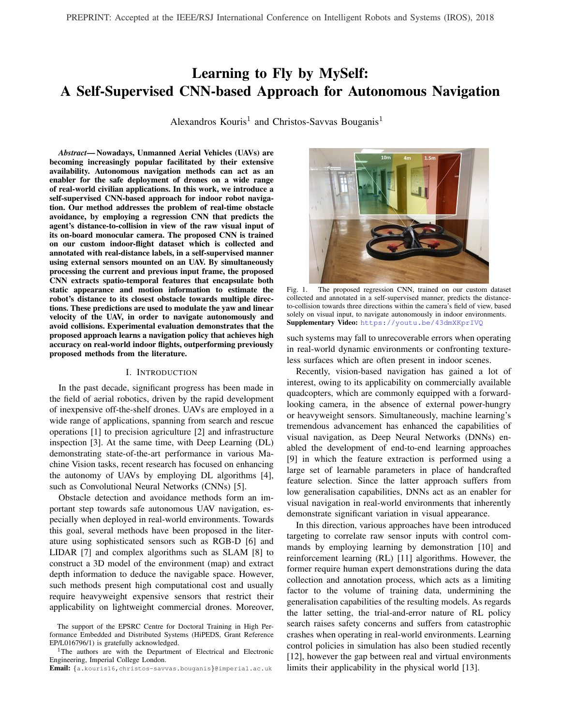In this paper, to detect navigable space on the UAV's environment, we train a CNN to run inference on three overlapping windows of each input image independently, similar to the work of [20]. However, instead of classifying every input window to "collision-free" or "non-navigable", we treat robot perception as the more information-rich regression task of predicting the real distance-to-collision towards each direction, inspired by recent literature that introduces continuous-value CNN-based predictions on various robotic applications [21] [22]. Trained on a custom dataset of realflight images, collected and annotated in a self-supervised way by an UAV with external active distance sensors attached, distance-to-collision can be predicted solely from monocular visual input. To fuse the CNN predictions for every input frame's windows, a custom local motion planning policy is implemented, making an informed decision about the robot's motion, controlled via its yaw and linear velocity.

The proposed method differs from the CNN classificationbased approach of [20] in that the introduced regression CNN model predicts fine-grained distance-to-collision values for each input, trained on continuous distance-labelled data, considering the closest obstacle on the robot's path towards three diverging directions. Conversely, the binary classification model of [20] is trained on UAV images that are coarsely labelled into two discrete classes thresholded based on each frame's position in its trajectory (assuming that all trajectories result to a collision). This classification approach (also employed by [9] to predict collision probability) demonstrates a rapidly escalating probability value within a small portion of consecutive input frames of each trajectory, located around the predefined class separation threshold, while maintaining an overconfident prediction probability (0 or 1) during all other parts of navigation; as demonstrated in our experiments (Sec. IV-B). Instead, the proposed regression model generates a more insightful prediction of the actual distance to the closest obstacle in the drone's candidate trajectories, that smoothly scales with the UAV's motion. This information-richer approach enables the development of a more informed local motion planning policy, which not only avoids collisions during navigation, but also considers the longer range traversability of space in the robot's environment to produce motion commands. Moreover, by avoiding encapsulation of thresholding values in the dataset's labelling process, the proposed system demonstrates larger flexibility in the sense of tunability for different navigation scenarios and/or UAV platforms, without the need of retraining the model.

Our method also differs from the approaches of [9] and [14] that employ imitation learning to determine the UAV's steering angle (in the continuous and discrete domain respectively), in that the proposed local motion planning system determines robot's velocity and orientation, based solely on the CNN's distance prediction, without requiring a taskspecific end-to-end annotated dataset. Moreover, to the best of our knowledge, this is the first work that employs a twostream CNN architecture to fuse spatio-temporal features of sensory data for the task of autonomous navigation.

### III. METHODOLOGY

#### *A. Self-Supervised Dataset Collection and Annotation*

Deep Learning methods require large amount of data in order to train models that would generalise well in differing real-world environments. To minimise human effort, selfsupervised methods can be adopted to automate the collection and annotation process of large scale datasets [23] [24].

Employing a self-supervised methodology, we create the first, to the best of our knowledge, indoor flight dataset annotated with real distance labels to the closest obstacle towards three diverging directions in the field of view of the drone's forward-looking camera. The need for a relevant dataset, has also been identified in recent literature [9].

In the proposed approach, three pairs of Ultrasonic and Infra-Red (IR) distance sensors are mounted on an UAV pointing towards different directions within its camera's field of view, to allow automatic annotation of all data samples. Since the utilised drone is equipped with a wide lens (92°) camera, the selected sensor alignment is pointing towards [-30°, 0°, 30°] across the image width, w.r.t. the centre of the captured frame. The drone executes straight-line trajectories in multiple environments within real buildings, while camera images are recorded along with raw data from the external distance sensors. As illustrated in Fig. 2, each trajectory terminates when the forward-looking sensor detects an obstacle at the minimum distance that the drone requires to stop without colliding. A random rotation is performed to determine the flight direction of the next trajectory, which should be towards a navigable area of the environment. This constraint is evaluated by using the external distance sensors of the UAV, minimising the human supervision requirements of the data collection process, and hence making the dataset easily extensible.

Ultrasonic sensors support longer range distance sensing, at the cost of providing many noisy samples due to scattering and reflection effects when obstacles are positioned too close or on a narrow angle to the sensor. Conversely, Infra-Red sensors demonstrate better behaviour on a wide range of sensing angles, however their scope is limited to notably shorter distances. Having used pairs of both sensor technologies towards each direction, the recorded distance data from each pair are used to automatically annotate the corresponding input images of each trajectory by being aligned and fused, using the Ultrasonic data in samples with large-distance obstacles and the IR data when available due to presence of obstacles in close proximity. The fused annotations of each trajectory are also processed by a low-pass filter to eliminate sensor noise that would affect the training process.

After numerous iterations of that process in various realworld indoor environments (including seminar room, hallway, office space, kitchen,...), at the moment of writing a large data set of more than 300,000 samples, organised in 2,000 trajectories, has been collected. Each input image captured by the UAV's forward looking camera, is divided into three overlapping windows, each being annotated with the fused measurements of the corresponding sensor pair.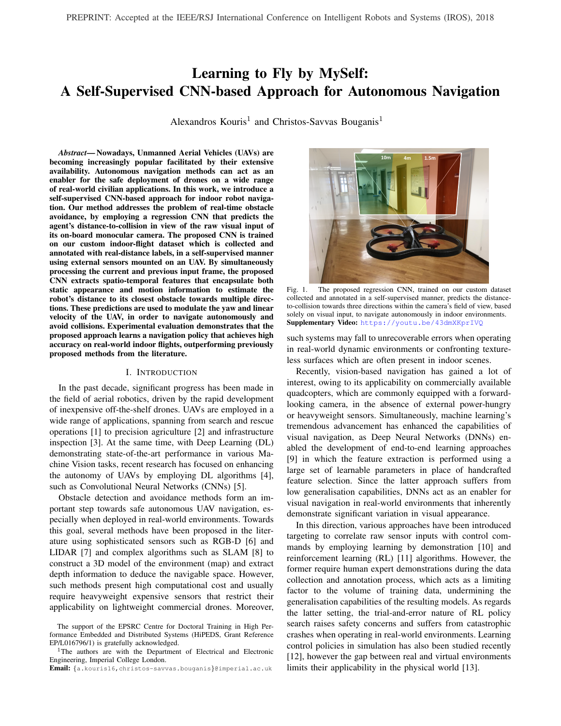Fig. 2. Self-supervised collection of an indoor ight-trajectory dataset in real-world buildings, automatically annotated with distance-to-collision labels.

#### B. CNN Architecture and Training

the network. More details on the ndings of this evaluation

The introduced distance-annotated dataset is used for traffl<sup>e</sup> presented in Sec. IV-B. ing a CNN to t a regression model on the visual perception The proposed two-stream CNN architecture is illustrated task of predicting the distance to the closest obstacle. in Fig. 3a. Each network's stream consists of two layers with

From each input image captured by the forward-looking dentical structure to the rst two Convolutional (CONV) on-board camera of the UAV, three overlapping rectangula<sup>p</sup>yers of AlexNet [28], which is a widely employed and windows are extracted and separately processed by the CNPO mputationally low-demanding CNN model. After fusing A similar approach was introduced in the work of [20],<sup>the two</sup> streams by concatenating their output channels, however, the proposed model incorporates more informaticNexNet's third CONV layer (with modi ed number of about the scene, being trained to predict the continuous reaput channels) is inserted to process the fused featuredistance-to-collision towards each direction, instead of th@ap volume. Successively, the two last CONV layers of probability distribution of a binary classi cation betweenAlexNet's feature extractor are adopted to form the single collision-freeand non-navigable spacelasses. stream section of the architecture. The classi er originally

Although image sensors provide a sequence of visub ped in AlexNet, consisting of three Fully-Connected (FC) data, related research has focused solely on learning spatayers, is replaced by a regression unit, consisting of a FC (i.e. static appearance) features by independently processlager connected to a single-neuron FC layer that produces the each input sample. In contrast, the proposed approach alsotwork's output (i.e. the predicted distance-to-collision). leverages the temporal information encapsulated between Similar to AlexNet's input layer, each stream of the consecutive frames, which enables the extraction of temporal oposed CNN receives an input image of size 227x227x3, features such as relative motion, local proximity etc. This islenoting height, width and number of channels respectively. achieved by employing a two-stream CNN, driven by the SUAV cameras typically provide larger RGB images, we performance that similar architectures have demonstrated scale down all collected input samples without affecting a wide span of applications with temporal or multimodal dattheir aspect ratio, to meet the CNN's input-height con-[25] [26]. Initially, contiguous-in-time frames are processedstraint. Subsequently, three overlapping windows satisfying concurrently in pairs by two separate streams that extratte input-width requirement are extracted and associated scene appearance information from both static images. Theth the corresponding distance labels of the dataset. Each two streams are then fused to a single stream (deepeindow is treated as an independent training sample, linked in the network) to extract temporal features incorporatingvith the matching image region of its previous in time information regarding the relative motion between the tworame, to form a 6-channel input for the two-stream netframes. Hence, both spatial and temporal components of thork. Multiple data augmentation techniques are applied on input sequence are exposed in the trained model. the training samples, including random rotations, horizontal

Selecting the appropriate method and depth for fusingoping (with corresponding switching of the leftmost and the two streams of such network architectures to combin**ig**htmost window labels) and lighting variations (focusing static appearance and motion information has been widelyainly on brightness, contrast and saturation). studied in literature [27]. In our case, experimental evaluation The CONV layers of the proposed network were presuggested that fusing the two streams in an intermediatteained on the imitation learning dataset for indoor navigation depth of the feature extractor achieves the highest perfoof [14], to enhance the generalisation capability of the mance in the undertaken task of distance prediction. Th@NN by exposing its feature extractor to environments with resulting network fuses the extracted spatial feature maps difverse appearance. The training of the regression CNN was intermediate abstraction level from each pair of consecutiveerformed using Stochastic Gradient Descent with Momeninput frames by concatenation, to determine their temporalm, in 30 epochs, employing a mini-batch size of 128 relation in the form of temporal features learned deeper iwith the training set being shuf ed on each epoch to form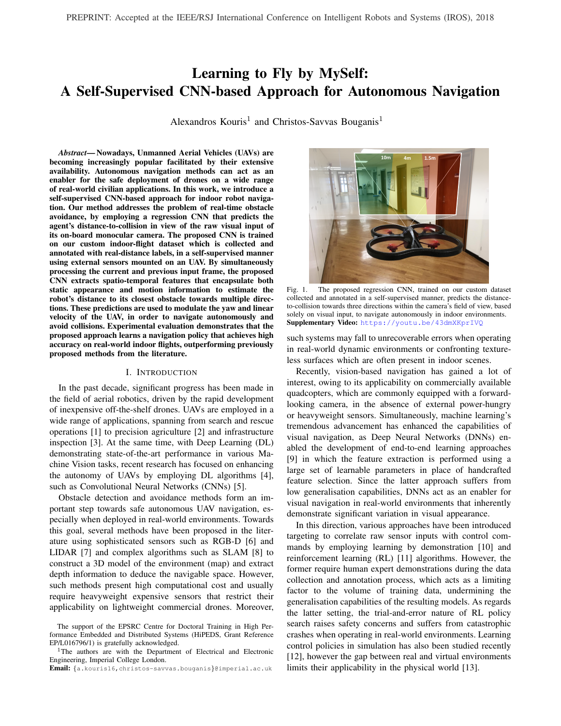Fig. 3. (a) Two-stream CNN architecture for spatio-temporal feature extraction on regression tasks. (b) Instance of local motion planner.

diverse batches. Momentum was set to 0.9, with a startinand the minimum detection distance that the drone is capable learning rate of 0.001 being reduced by a factor of 10 afteo decelerate and avoid collision when ying on its maximum every 10 epochs. Moreover, regression response values wallewable velocityu<sub>max</sub> 2 [0; 1] accordingly.

normalised (in the range of [0,1]; with their scaling back to The UAV's rotational (yaw) velocityu<sub>rot</sub> 2 [ 1;1] is the predicted distance values during inference being triviabdjusted to guide the UAV towards the direction that is to prevent an exploding behaviour of loss values that woul**p**redicted to have the largest amount of navigable space affect the convergence of the training method. within the current frame's FoV. This is determined by the

# C. UAV Local Motion Planning for Obstacle Avoidance

During inference, the trained model is used to regres<sub>sth</sub>. This UAV control strategy is described by Alg. 1. three distance-to-collision value sdij; jd-j; jd-j towards the leftmost, central and rightmost directions of the forward-looking camera's eld of view, corresponding to [-30, 0, 30] angle w.r.t. the centre of the input image respectively. To achieve that, three overlapping windows of the robot's visual input, along with the corresponding image regions of the previous frame, are extracted in similar way as in the training stage (described in Sec. III-B) and processed independently by the proposed network architecture.

The outputs of the proposed regression model are fed to a custom local motion planning algorithm to conclude into a single control command that modulates the robot's yaw  $(u_{\text{rot}}^z)$  and forward linear velocity $u_{\text{lin}}^x$ ). These information-

angle of the resultant distance vector of all consecutive examined directions that exceed a tunable threshold value

| Algorithm 1 Calculate Rotational Yaw Velocity                                                                                                                                                                                                               |  |  |  |  |  |
|-------------------------------------------------------------------------------------------------------------------------------------------------------------------------------------------------------------------------------------------------------------|--|--|--|--|--|
| Input: $f$ d ; d $f_c$ ; d $g$ g $d_{th}$<br>Output: $u_{\text{rot}}^2$                                                                                                                                                                                     |  |  |  |  |  |
| if fi dii; jd.i; jd. jg > d <sub>th</sub> then<br>$\sigma = (d_1 + d_2 + d_1)$<br>else if $\mathsf{id}$ i $\mathsf{d}_r$ i then<br>$\sigma = (\dot{d}_1 + \dot{d}_2)$<br>else if $\mathsf{id}$ $\mathsf{j}$ < $\mathsf{j}$ d <sub>r</sub> $\mathsf{j}$ then |  |  |  |  |  |
| $z = (d_c + d_r)$<br>end if<br>$u_{\text{rot}}^z = \frac{z}{(dt)}$                                                                                                                                                                                          |  |  |  |  |  |

where () indicates the angle w.r.t vector

 $(d<sub>r</sub>)$ 

rich predictions of the regression CNN, provide a ne-Under the control of this policy, the UAV instantly reacts to grained and accurate distance estimation, gradually escalate visual input of its sensors, based on the trained model's ing across a wide range of real distance-to-collision values rediction, as also illustrated in Fig. 3b. Low-pass ltering The proposed motion planning policy is leveraging this commanded velocities is employed to eliminate undesirdistance information to perform continuous ne adjustments be continuous in robot motion. Treating perception as a of the robot's motion. This allows commanding timely regression task that predicts distance-to-collision, rather than manoeuvres that result to smoother navigation and prompt classi-cation task between navigable and non-navigable interaction with the environment, as well as insightful longer-space, permits enhanced tunability of the navigation policy as range planning decisions by selecting to move towards the result of the most primitive nature of information that is fed direction that is considered to contain the largest amount of the motion planner. As discussed, the proposed policy can traversable space.

The linear velocity of the robotu $\zeta_{\sf in}$  ) is de ned to be collisions in the direction of ight of the UAV.

$$
u_{\text{lin}}^{x} = \begin{cases} \frac{u_{\text{max}}}{d_H d_L} (j d_C j d_H) & , \text{ if } j d_C j < d_H \\ u_{\text{max}} & , \text{ otherwise} \end{cases} \tag{1}
$$

inversely proportional to the predicted distance-to-collision and/or navigation scenarios. For example, different drones for the central window of the visual input (Eq. 1), to avoid demonstrate varying levels of manoeuvrability, leading to unbe tuned by a number of thresholding parameters whose values may differ signi cantly between different UAV platforms alike reaction time and stopping distance. Moreover, tuning can be performed to meet task-speci c requirements, such as keeping the drone on a large safety distance from obstacles

in scenarios where failures are unrecoverable. Conversely,

whered<sub>L</sub>, d<sub>H</sub> form tunable, task- and drone-speci c parame+he classi cation-based setting is less condescending in such ters of the control scheme representing the minimum distantening as it deals with a higher-level task and its behaviour that the UAV is allowed to get close to detected obstacless mainly dictated ahead of the training of the model.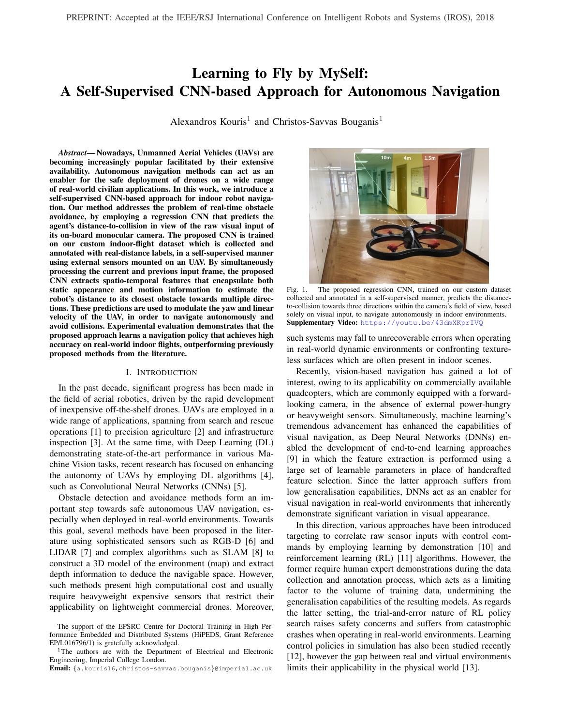#### IV. EXPERIMENTAL EVALUATION

In this section, the experimental evaluation of the proposed approach is discussed, both for the perception task undertaken by the CNN and for the introduced end-to-endnavigation method, by performing comparisons with other commonly employed CNN architectures and relevant stateof-the-art works from the recent literature, showing both quantitative and qualitative results.

# A. Experimental Setup

CNN design and training are performed using MATLAB R2017b and the Neural Network Toolboxn a desktop server equipped with an Intel Xeon E5-2630 processor, 64GB<sub>s</sub> demonstrated in this plat, the proposed two stream CNN of RAM and a GTX1080 GPU. Parrot AR-Drone2.0 is of to an end a CTX1000 CPC. Farter AR BIORED 10<br>used for the UAV-related experiments, equipped with a 720p<sub>persent</sub>ed to the simple stream expressive space the test forward-facing camera, with a wide-angle lens (92 degrees) that captures images at 30 fps. During the experiments WiFi communication is established between the drone and a laptop Moreover, the proposed CNN architecture (Sec. III-B), that equipped with an Intel Core i7-6700HQ, 16GB of RAM<sup>fuses</sup> its two streams in intermediate network depth using and a GTX1070 GPU, executing the CNN inference and and a concatenation, performs slightly better than all other motion planning, to send velocity commands to the drone<sup>concatenation-based settings.</sup> This con-guration initially ex-Ardrone autonomy packageand ROS Kinetic Kame were tracts spatial features of intermediate level of abstraction Individual the process, external process, external with the term of the two streams distance sensors, aning the unit concentri-proces, entered to extract temporal relations between them. Finally, it is on an Arduino Pro Mini micro-controller. of the proposed two-stream network con-guration and the As demonstrated in this plot, the proposed two-stream CNN compared to the single-stream approach across the test set, independently of the input frame's actual distance range. observed that, in general, network con-gurations employing channel concatenation as their fusing method achieve higher

## B. Distance Prediction Results

Two-stream vs Single-stream CNN:Initially, we evaluate the performance of the trained two-stream CNN model on thexibility provided by concatenation, as output channels of regression task of distance prediction from raw visual inpuboth streams are combined in the next CONV layer using comparing it with a commonly used single-stream AlexNelearnable parameters (exposed on training), instead of being architecture. Additionally, an experimental study between ummed up as in the case of additive fusion. various con gurations of the proposed two-stream network Regression vs Classi cation CNN: In Fig. 4 we also channels-wise addition. This can be explained by the greater

architecture (Fig. 3), in terms of: (awsing depth(i.e. after cdepict the output of the binary classi cation task proposed which layer the two streams are fused) andf(ts)ing method in [20], predicting the probability of each input frame to (i.e. if the streams are fused by performing channel-wiseorrespond to collision-free or non-navigable space, along addition or concatenation), is presented. All CNN models areith the regressor output of the proposed architecture. trained on the contributed dataset (Sec. III-A) following the As demonstrated in reference with the right y-axis of

previously described methodology (Sec. III-B) and evaluaterhe plot, the probability output of the binary classi er is in terms of Root-Mean-Squared-Error (RMSE) on a testorrectly predicting the existence of navigable space in dataset containing 20,000 real- ight pictures from various amples with high-distance labels without false-positives. indoor environments of the dataset, which were excludedowever, the CNN is mostly concluding to over-con dent from the training set of Sec. III-B. predictions, maintaining a probability of 0 or 1 for most

The results of this comparison are listed in Table I. As f the distance values in the examined spectrum. A highly can be seen from the table, all the variations of the proposedcalating behaviour with wide error range is observed within two-stream CNN architecture signi cantly overperform thea short range of distance values (70-120cm), positioned single-stream approach, achieving smaller prediction error onound the labelling threshold of the two classes, which is normalised distance values across the test set. Hence, itdistermined ahead of training and cannot be adapted afterdeduced that employing CNN architectures that are capableards. Conversely, the proposed regression-based approach of learning spatio-temporal features boosts the achievedemonstrates a more information-rich, smoothly escalating accuracy on the distance prediction task by capturing relative haviour across the whole range of the examined distances motion information between consecutive input frames. Avith signi cantly lower error range, bounded only by the comparison between the error range in the predicted distanceximum sensing range of the external distance sensors used

<sup>2</sup>https://www.parrot.com/us/drones/parrot-ardrone-20-power-edition

3http://wiki.ros.org/ardroneautonomy

CNN-REGRESSIONERROR ONDISTANCE PREDICTION TASK

| Network Architecture |                     |                                                         | <b>RMSE</b>        |
|----------------------|---------------------|---------------------------------------------------------|--------------------|
| Streams              | <b>Fusing Depth</b> | <b>Fusing Method</b>                                    | (Normalised [0,1]) |
| Single-stream*       |                     |                                                         | 0.083642           |
| Two-Stream           | Early input)        | Concatenation                                           | 0.024926           |
| Two-Stream**         | Middle (Conv2       | Concatenation                                           | 0.023307           |
| Two-Stream           | Late Conv5          | Concatenation                                           | 0.025041           |
| Two-Stream           | Early input)        | Addition                                                | 0.029317           |
| Two-Stream           | Middle Conv2        | Addition                                                | 0.043447           |
| <b>Two-Stream</b>    | Late Conv5          | Addition                                                | 0.043642           |
|                      |                     | Based on AlexNet architecture [28] with regression unit | **This work        |

accuracy on the regression task, compared to those using

during data collection (500cm). This complementary information is exploited by the proposed local motion planning policy, to make more informed longer-range decisions for

\*Based on AlexNet architecture [28] with regression unit \*\*This work

<sup>1</sup>https://www.mathworks.com/products/neural-network.html

<sup>4</sup>GP2Y0A60SZLF Analog IR Sensor and HC-SR04 Ultrasonic Sensor autonomous navigation.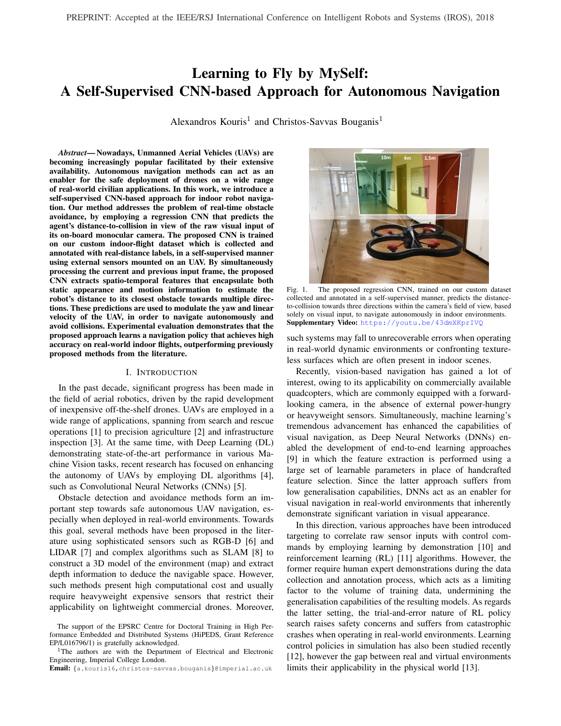| <b>TABLE II</b>                     |  |
|-------------------------------------|--|
| <b>COMPARISON WITH RELATED WORK</b> |  |

|                                                   | Seminar Room |                          | Hallway      |         |  |  |  |
|---------------------------------------------------|--------------|--------------------------|--------------|---------|--|--|--|
| Method                                            | $Time(s)^*$  | RMSE **                  | Time( $s$ )* | RMSE ** |  |  |  |
| <b>Straight Path Policy</b>                       | 4.8          | 0.5643                   | 92           | 0.42872 |  |  |  |
| Human Pilot                                       | 96.2         | $\overline{\phantom{0}}$ | 107.9        |         |  |  |  |
| Imitation Learning [14]                           | 11.7         | 0.1359                   | 14.1         | 0.1298  |  |  |  |
| Classi cation-based [20]                          | 27.4         | 0.1177                   | 38.2         | 0.0996  |  |  |  |
| This work                                         | 51.4         | 0.0679                   | 68.0         | 0.0775  |  |  |  |
| *Mean time between collisions/human interventions |              |                          |              |         |  |  |  |

\*\*Compared to human pilot's choice of action

Fig. 4. Actual vs Predicted distance-to-collision from proposed and baseline D. Qualitative Results on UAV Navigation regression CNNs and navigable-space probability from the classi er of [20]. Discussion and Limitations: From the experiments de-

#### C. Quantitative Results on UAV Navigation

scribed in the previous section, we deduce that the pro-

In this section the proposed method is evaluated on an end-make more insightful decisions in cases of high ambiguity to-end manner in the task of autonomous UAV navigation such as when dealing with reduced number of trackable Four different indoor scenarios are examined, including atures due to close proximity to obstacles) by utilising the traversing a Hallway and navigating within a seminar roomearned, richer in information, spatio-temporal representation with or without real-world obstacles (such as chairs, boxe& the visual input. Moreover, it is observed that the ne poster-stands, bins etc) in various physical con gurations. granularity of predicted distance values fed to the motion posed two-stream regression architecture generally manages

The system's performance is compared with a Straighb<sub>ilanner enables continuous slight adjustments of the robot's</sub> Path Policy acting as a weak baseline and a human pilptack, resulting to a considerable reduction in oscillations on controlling the drone using a joystick, based solely on it<sub>the yaw</sub> axis. In the extreme case that a texture-less surface forward-looking camera inputs (without having the drone on overs the camera's eld of view, resulting to a complete loss sight), acting as a strong baseline. We have also implemented eatures, the accuracy of the predicted distance-to-collision two state-of-the-art methods for CNN-based autonomoushops considerably. However, in such cases, a value close to indoor navigation from the literature: the minimum observed distance on the dataset is inferred,

The CNN classi cation-based model of [20] trainedallowing the motion planner to avoid collisions. Additionally, on AlexNet architecture, which feeds its predictionsn the case of ying in extremely close proximity to glass to an arbitration scheme that controls the UAV's yaw surfaces, the accuracy of the distance prediction demonstrates in accordance with the predicted collision probabilities signi cant drop. Such cases that were evident in the towards each direction The Imitation Learning based method of [14] whichthe external proximity sensors downgraded the performance employs an AlexNet-based end-to-end classi er to mapf the trained model, by increasing its error range and were each input image to a ight-command from a discrete emoved from the training set. However, both cases are rarely motion pool (move forward, move right, spin right,...) encountered during ight in indoor cluttered environments, dataset being annotated with the real distance captured by

All policies are compared in terms of average time bedue to the wide eld of view of the cameras used in UAVs. tween collisions after navigating in all four test-scenarios for Motion Planning Case Study: Finally, we provide a 5 minutes each, with minimal human intervention (Table II)representative case study that demonstrates the contribution Moreover, the normalised commanded yaw velocities of ab f employing a regression model to obtain ne-grained methods are compared in terms of RMSE, with the humadistance-to-collision predictions across a trajectory and expilot's choice of action (annotated of ine). The results ofploiting them by a custom motion planning policy to make this comparison (also listed in Table II) demonstrate that thiaformed action decisions for autonomous navigation. Our proposed approach outperforms the other autonomous baseethod is compared with the coarser classi cation-based lines, managing to navigate without coming in contact withapproach of [20]. Fig. 6 illustrates the ight trajectory of obstacles present in the testing environments for 4.6@re a drone on an indoor environment, navigating autonomously time (mean) compared to the imitation learning approach ddy employing both approaches. In the examined case, the [14] and 1.78 compared to the CNN classi cation-basedinformed local motion planning policy, leverages the richer work of [20], reaching up to 0.53 and 0.63 the ight time of a human pilot, and overpassing by 10.7and 7.4 the weak baseline of Straight-Path ight, on the seminar roonto be made based on the ratio of the predicted distances and hallway scenario respectively. distance information provided by the regression model, which enables insightful, longer-range planning decisions towards the examined directions. Exploiting this information,

Representative input instances from the UAV camerahe proposed approach demonstrates higher level of environalong with the commanded yaw by all examined methods, areental awareness, following a track towards the navigable illustrated in Fig. 5. The proposed regression-based approacobrridor, in contrast to the classi cation-based approach combined with the developed motion planning policy, is which successfully avoided collisions but made shorter-range shown to take ner-grained actions to continuously adjustnotion planning decisions based on the less informative the robot's orientation, resulting to smoother path. probability of collision and eventually got trapped.